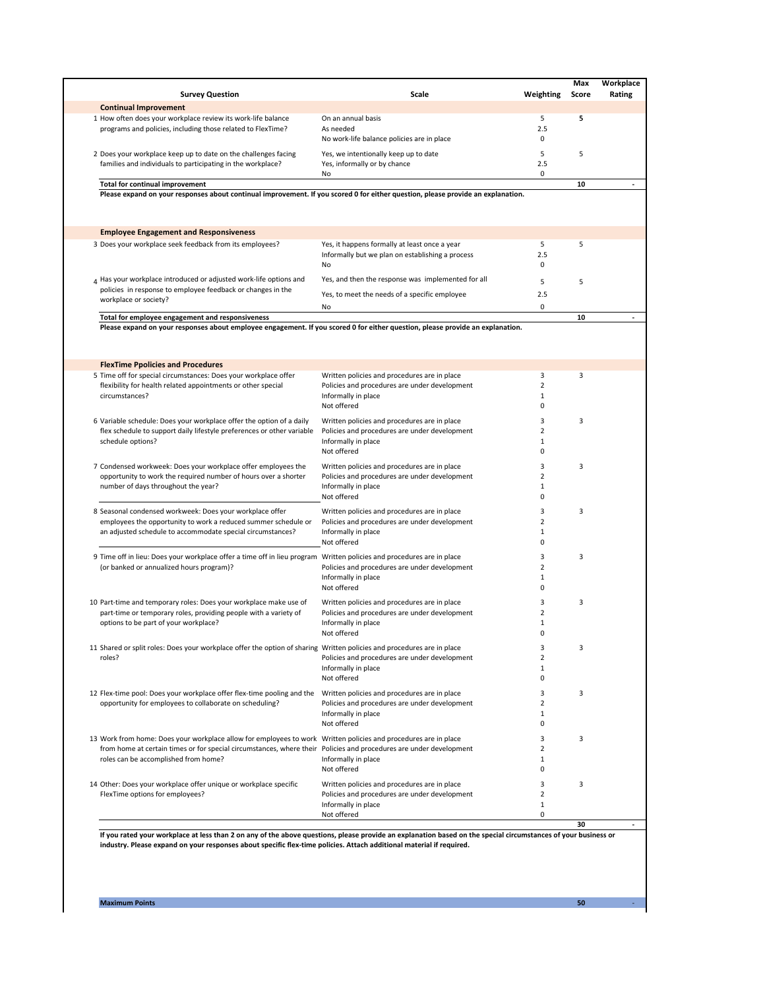**50** -

| <b>Survey Question</b>                                                                                                                                                                                                                                                        | <b>Scale</b>                                           | Weighting | <b>Score</b> | <b>Rating</b> |
|-------------------------------------------------------------------------------------------------------------------------------------------------------------------------------------------------------------------------------------------------------------------------------|--------------------------------------------------------|-----------|--------------|---------------|
| <b>Continual Improvement</b>                                                                                                                                                                                                                                                  |                                                        |           |              |               |
| 1 How often does your workplace review its work-life balance                                                                                                                                                                                                                  | On an annual basis                                     | 5         | 5            |               |
| programs and policies, including those related to FlexTime?                                                                                                                                                                                                                   | As needed                                              | 2.5       |              |               |
|                                                                                                                                                                                                                                                                               | No work-life balance policies are in place             | 0         |              |               |
| 2 Does your workplace keep up to date on the challenges facing                                                                                                                                                                                                                | Yes, we intentionally keep up to date                  | 5         | 5            |               |
| families and individuals to participating in the workplace?                                                                                                                                                                                                                   | Yes, informally or by chance                           | 2.5       |              |               |
|                                                                                                                                                                                                                                                                               | No                                                     | 0         |              |               |
| <b>Total for continual improvement</b>                                                                                                                                                                                                                                        |                                                        |           | 10           |               |
| Please expand on your responses about continual improvement. If you scored 0 for either question, please provide an explanation.                                                                                                                                              |                                                        |           |              |               |
| <b>Employee Engagement and Responsiveness</b>                                                                                                                                                                                                                                 |                                                        |           |              |               |
| 3 Does your workplace seek feedback from its employees?                                                                                                                                                                                                                       | Yes, it happens formally at least once a year          | 5         | 5            |               |
|                                                                                                                                                                                                                                                                               | Informally but we plan on establishing a process<br>No | 2.5<br>0  |              |               |
| $_4$ Has your workplace introduced or adjusted work-life options and                                                                                                                                                                                                          | Yes, and then the response was implemented for all     | 5         | 5            |               |
| policies in response to employee feedback or changes in the                                                                                                                                                                                                                   | Yes, to meet the needs of a specific employee          | 2.5       |              |               |
| workplace or society?                                                                                                                                                                                                                                                         |                                                        |           |              |               |
|                                                                                                                                                                                                                                                                               | No                                                     | 0         |              |               |
| Total for employee engagement and responsiveness<br>Please expand on your responses about employee engagement. If you scored 0 for either question, please provide an explanation.                                                                                            |                                                        |           | 10           |               |
| <b>FlexTime Ppolicies and Procedures</b>                                                                                                                                                                                                                                      |                                                        |           |              |               |
| 5 Time off for special circumstances: Does your workplace offer                                                                                                                                                                                                               | Written policies and procedures are in place           | 3         | 3            |               |
| flexibility for health related appointments or other special                                                                                                                                                                                                                  | Policies and procedures are under development          | 2         |              |               |
| circumstances?                                                                                                                                                                                                                                                                | Informally in place                                    | 1         |              |               |
|                                                                                                                                                                                                                                                                               | Not offered                                            |           |              |               |
| 6 Variable schedule: Does your workplace offer the option of a daily                                                                                                                                                                                                          | Written policies and procedures are in place           | 3         | 3            |               |
| flex schedule to support daily lifestyle preferences or other variable                                                                                                                                                                                                        | Policies and procedures are under development          |           |              |               |
| schedule options?                                                                                                                                                                                                                                                             | Informally in place                                    |           |              |               |
|                                                                                                                                                                                                                                                                               | Not offered                                            | 0         |              |               |
|                                                                                                                                                                                                                                                                               |                                                        |           |              |               |
| 7 Condensed workweek: Does your workplace offer employees the<br>opportunity to work the required number of hours over a shorter<br>number of days throughout the year?                                                                                                       | Written policies and procedures are in place           |           | 3            |               |
|                                                                                                                                                                                                                                                                               | Policies and procedures are under development          |           |              |               |
|                                                                                                                                                                                                                                                                               | Informally in place<br>Not offered                     |           |              |               |
|                                                                                                                                                                                                                                                                               |                                                        | 0         |              |               |
| 8 Seasonal condensed workweek: Does your workplace offer                                                                                                                                                                                                                      | Written policies and procedures are in place           | 3         | 3            |               |
| employees the opportunity to work a reduced summer schedule or                                                                                                                                                                                                                | Policies and procedures are under development          |           |              |               |
| an adjusted schedule to accommodate special circumstances?                                                                                                                                                                                                                    | Informally in place                                    |           |              |               |
|                                                                                                                                                                                                                                                                               | Not offered                                            | 0         |              |               |
| 9 Time off in lieu: Does your workplace offer a time off in lieu program Written policies and procedures are in place                                                                                                                                                         |                                                        | 3         | 3            |               |
| (or banked or annualized hours program)?                                                                                                                                                                                                                                      | Policies and procedures are under development          | 2         |              |               |
|                                                                                                                                                                                                                                                                               | Informally in place                                    |           |              |               |
|                                                                                                                                                                                                                                                                               | Not offered                                            | 0         |              |               |
|                                                                                                                                                                                                                                                                               |                                                        |           |              |               |
| 10 Part-time and temporary roles: Does your workplace make use of                                                                                                                                                                                                             | Written policies and procedures are in place           | 3         | 3            |               |
| part-time or temporary roles, providing people with a variety of                                                                                                                                                                                                              | Policies and procedures are under development          |           |              |               |
| options to be part of your workplace?                                                                                                                                                                                                                                         | Informally in place<br>Not offered                     | 0         |              |               |
|                                                                                                                                                                                                                                                                               |                                                        |           |              |               |
| 11 Shared or split roles: Does your workplace offer the option of sharing Written policies and procedures are in place<br>roles?                                                                                                                                              |                                                        |           | 3            |               |
|                                                                                                                                                                                                                                                                               | Policies and procedures are under development          | 2         |              |               |
|                                                                                                                                                                                                                                                                               | Informally in place                                    |           |              |               |
|                                                                                                                                                                                                                                                                               | Not offered                                            | 0         |              |               |
| 12 Flex-time pool: Does your workplace offer flex-time pooling and the<br>opportunity for employees to collaborate on scheduling?                                                                                                                                             | Written policies and procedures are in place           | 3         | 3            |               |
|                                                                                                                                                                                                                                                                               | Policies and procedures are under development          | 2         |              |               |
|                                                                                                                                                                                                                                                                               | Informally in place                                    |           |              |               |
|                                                                                                                                                                                                                                                                               | Not offered                                            | 0         |              |               |
| 13 Work from home: Does your workplace allow for employees to work Written policies and procedures are in place<br>from home at certain times or for special circumstances, where their Policies and procedures are under development<br>roles can be accomplished from home? |                                                        | 3         | 3            |               |
|                                                                                                                                                                                                                                                                               |                                                        |           |              |               |
|                                                                                                                                                                                                                                                                               | Informally in place                                    |           |              |               |
|                                                                                                                                                                                                                                                                               | Not offered                                            | 0         |              |               |
|                                                                                                                                                                                                                                                                               |                                                        |           |              |               |
| 14 Other: Does your workplace offer unique or workplace specific<br>FlexTime options for employees?                                                                                                                                                                           | Written policies and procedures are in place           | 3         | 3            |               |
|                                                                                                                                                                                                                                                                               | Policies and procedures are under development          |           |              |               |
|                                                                                                                                                                                                                                                                               | Informally in place                                    | 1         |              |               |
|                                                                                                                                                                                                                                                                               | Not offered                                            | 0         |              |               |
|                                                                                                                                                                                                                                                                               |                                                        |           | 30           |               |

## **Maximum Points**